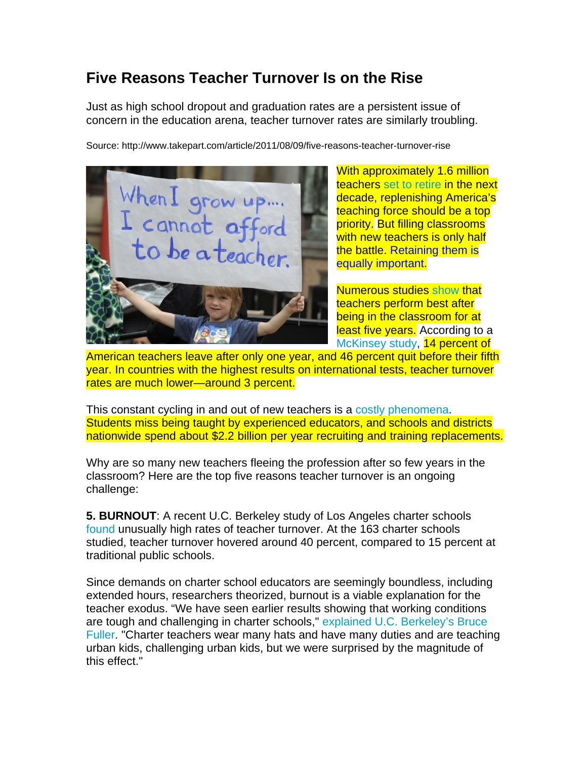## **Five Reasons Teacher Turnover Is on the Rise**

Just as high school dropout and graduation rates are a persistent issue of concern in the education arena, teacher turnover rates are similarly troubling.

Source: http://www.takepart.com/article/2011/08/09/five-reasons-teacher-turnover-rise



With approximately 1.6 million teachers set to retire in the next decade, replenishing America's teaching force should be a top priority. But filling classrooms with new teachers is only half the battle. Retaining them is equally important.

Numerous studies show that teachers perform best after being in the classroom for at least five years. According to a McKinsey study, 14 percent of

American teachers leave after only one year, and 46 percent quit before their fifth year. In countries with the highest results on international tests, teacher turnover rates are much lower—around 3 percent.

This constant cycling in and out of new teachers is a costly phenomena. Students miss being taught by experienced educators, and schools and districts nationwide spend about \$2.2 billion per year recruiting and training replacements.

Why are so many new teachers fleeing the profession after so few years in the classroom? Here are the top five reasons teacher turnover is an ongoing challenge:

**5. BURNOUT**: A recent U.C. Berkeley study of Los Angeles charter schools found unusually high rates of teacher turnover. At the 163 charter schools studied, teacher turnover hovered around 40 percent, compared to 15 percent at traditional public schools.

Since demands on charter school educators are seemingly boundless, including extended hours, researchers theorized, burnout is a viable explanation for the teacher exodus. "We have seen earlier results showing that working conditions are tough and challenging in charter schools," explained U.C. Berkeley's Bruce Fuller. "Charter teachers wear many hats and have many duties and are teaching urban kids, challenging urban kids, but we were surprised by the magnitude of this effect."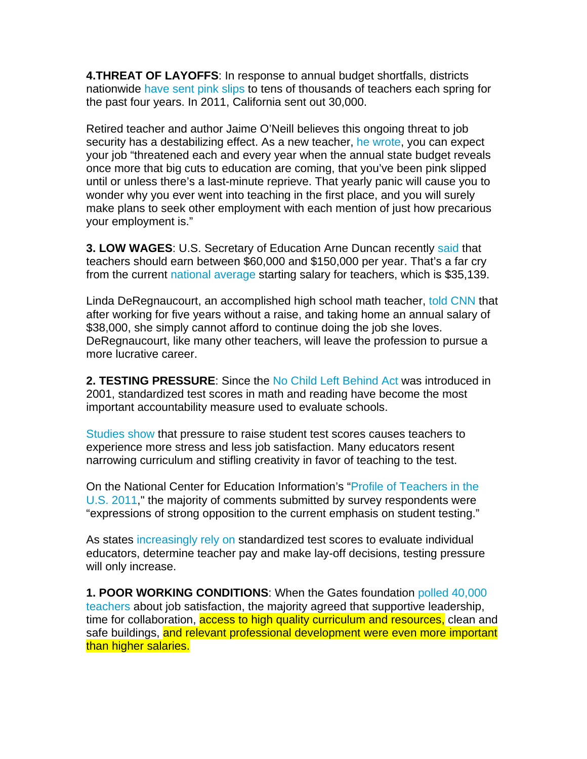**4.THREAT OF LAYOFFS**: In response to annual budget shortfalls, districts nationwide have sent pink slips to tens of thousands of teachers each spring for the past four years. In 2011, California sent out 30,000.

Retired teacher and author Jaime O'Neill believes this ongoing threat to job security has a destabilizing effect. As a new teacher, he wrote, you can expect your job "threatened each and every year when the annual state budget reveals once more that big cuts to education are coming, that you've been pink slipped until or unless there's a last-minute reprieve. That yearly panic will cause you to wonder why you ever went into teaching in the first place, and you will surely make plans to seek other employment with each mention of just how precarious your employment is."

**3. LOW WAGES**: U.S. Secretary of Education Arne Duncan recently said that teachers should earn between \$60,000 and \$150,000 per year. That's a far cry from the current national average starting salary for teachers, which is \$35,139.

Linda DeRegnaucourt, an accomplished high school math teacher, told CNN that after working for five years without a raise, and taking home an annual salary of \$38,000, she simply cannot afford to continue doing the job she loves. DeRegnaucourt, like many other teachers, will leave the profession to pursue a more lucrative career.

**2. TESTING PRESSURE**: Since the No Child Left Behind Act was introduced in 2001, standardized test scores in math and reading have become the most important accountability measure used to evaluate schools.

Studies show that pressure to raise student test scores causes teachers to experience more stress and less job satisfaction. Many educators resent narrowing curriculum and stifling creativity in favor of teaching to the test.

On the National Center for Education Information's "Profile of Teachers in the U.S. 2011," the majority of comments submitted by survey respondents were "expressions of strong opposition to the current emphasis on student testing."

As states increasingly rely on standardized test scores to evaluate individual educators, determine teacher pay and make lay-off decisions, testing pressure will only increase.

**1. POOR WORKING CONDITIONS**: When the Gates foundation polled 40,000 teachers about job satisfaction, the majority agreed that supportive leadership, time for collaboration, **access to high quality curriculum and resources**, clean and safe buildings, and relevant professional development were even more important than higher salaries.